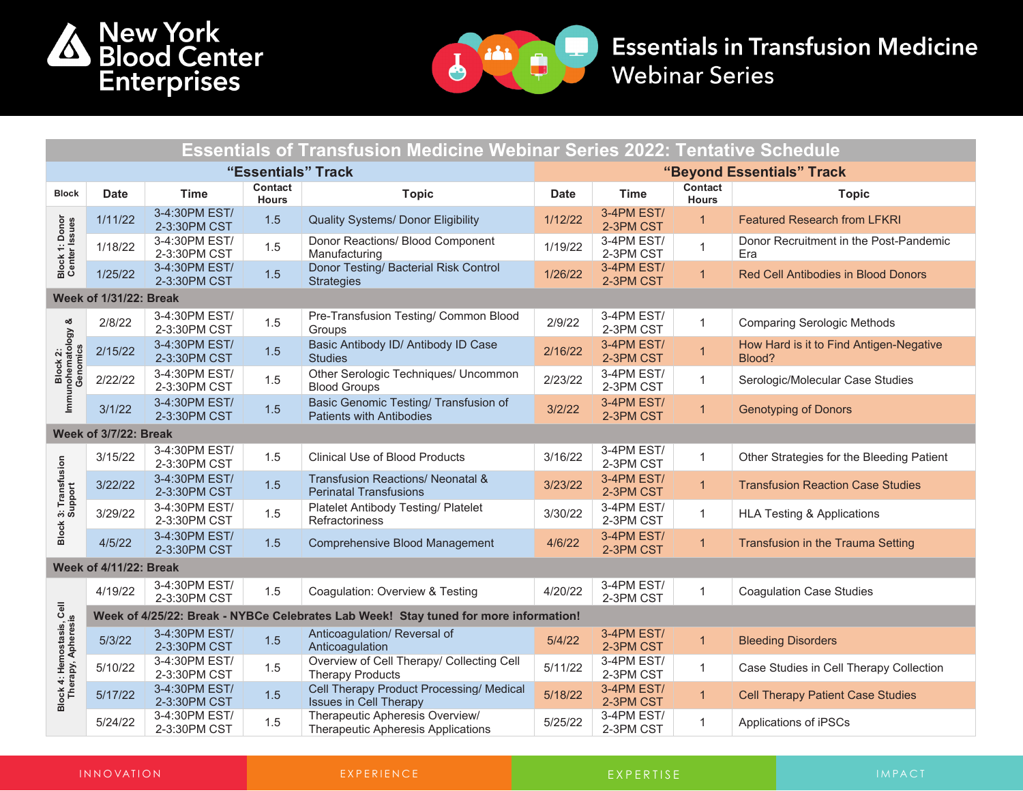



## **Essentials in Transfusion Medicine Webinar Series**

| <b>Essentials of Transfusion Medicine Webinar Series 2022: Tentative Schedule</b> |                                                                                      |                               |                                |                                                                               |                           |                         |                         |                                                   |  |
|-----------------------------------------------------------------------------------|--------------------------------------------------------------------------------------|-------------------------------|--------------------------------|-------------------------------------------------------------------------------|---------------------------|-------------------------|-------------------------|---------------------------------------------------|--|
| "Essentials" Track                                                                |                                                                                      |                               |                                |                                                                               | "Beyond Essentials" Track |                         |                         |                                                   |  |
| <b>Block</b>                                                                      | <b>Date</b>                                                                          | <b>Time</b>                   | <b>Contact</b><br><b>Hours</b> | <b>Topic</b>                                                                  | <b>Date</b>               | <b>Time</b>             | Contact<br><b>Hours</b> | <b>Topic</b>                                      |  |
|                                                                                   | 1/11/22                                                                              | 3-4:30PM EST/<br>2-3:30PM CST | 1.5                            | <b>Quality Systems/ Donor Eligibility</b>                                     | 1/12/22                   | 3-4PM EST/<br>2-3PM CST | $\overline{1}$          | <b>Featured Research from LFKRI</b>               |  |
| Block 1: Donor<br>Center Issues                                                   | 1/18/22                                                                              | 3-4:30PM EST/<br>2-3:30PM CST | 1.5                            | Donor Reactions/ Blood Component<br>Manufacturing                             | 1/19/22                   | 3-4PM EST/<br>2-3PM CST | $\mathbf{1}$            | Donor Recruitment in the Post-Pandemic<br>Era     |  |
|                                                                                   | 1/25/22                                                                              | 3-4:30PM EST/<br>2-3:30PM CST | 1.5                            | Donor Testing/ Bacterial Risk Control<br><b>Strategies</b>                    | 1/26/22                   | 3-4PM EST/<br>2-3PM CST | $\mathbf{1}$            | <b>Red Cell Antibodies in Blood Donors</b>        |  |
| <b>Week of 1/31/22: Break</b>                                                     |                                                                                      |                               |                                |                                                                               |                           |                         |                         |                                                   |  |
|                                                                                   | 2/8/22                                                                               | 3-4:30PM EST/<br>2-3:30PM CST | 1.5                            | Pre-Transfusion Testing/ Common Blood<br>Groups                               | 2/9/22                    | 3-4PM EST/<br>2-3PM CST | $\mathbf{1}$            | <b>Comparing Serologic Methods</b>                |  |
|                                                                                   | 2/15/22                                                                              | 3-4:30PM EST/<br>2-3:30PM CST | 1.5                            | Basic Antibody ID/ Antibody ID Case<br><b>Studies</b>                         | 2/16/22                   | 3-4PM EST/<br>2-3PM CST | $\overline{1}$          | How Hard is it to Find Antigen-Negative<br>Blood? |  |
| Block 2:<br>Immunohematology &<br>Genomics                                        | 2/22/22                                                                              | 3-4:30PM EST/<br>2-3:30PM CST | 1.5                            | Other Serologic Techniques/ Uncommon<br><b>Blood Groups</b>                   | 2/23/22                   | 3-4PM EST/<br>2-3PM CST | $\mathbf{1}$            | Serologic/Molecular Case Studies                  |  |
|                                                                                   | 3/1/22                                                                               | 3-4:30PM EST/<br>2-3:30PM CST | 1.5                            | Basic Genomic Testing/ Transfusion of<br><b>Patients with Antibodies</b>      | 3/2/22                    | 3-4PM EST/<br>2-3PM CST |                         | <b>Genotyping of Donors</b>                       |  |
| Week of 3/7/22: Break                                                             |                                                                                      |                               |                                |                                                                               |                           |                         |                         |                                                   |  |
|                                                                                   | 3/15/22                                                                              | 3-4:30PM EST/<br>2-3:30PM CST | 1.5                            | <b>Clinical Use of Blood Products</b>                                         | 3/16/22                   | 3-4PM EST/<br>2-3PM CST |                         | Other Strategies for the Bleeding Patient         |  |
|                                                                                   | 3/22/22                                                                              | 3-4:30PM EST/<br>2-3:30PM CST | 1.5                            | <b>Transfusion Reactions/ Neonatal &amp;</b><br><b>Perinatal Transfusions</b> | 3/23/22                   | 3-4PM EST/<br>2-3PM CST | $\mathbf{1}$            | <b>Transfusion Reaction Case Studies</b>          |  |
| <b>Block 3: Transfusion</b><br>Support                                            | 3/29/22                                                                              | 3-4:30PM EST/<br>2-3:30PM CST | 1.5                            | <b>Platelet Antibody Testing/ Platelet</b><br>Refractoriness                  | 3/30/22                   | 3-4PM EST/<br>2-3PM CST | 1                       | <b>HLA Testing &amp; Applications</b>             |  |
|                                                                                   | 4/5/22                                                                               | 3-4:30PM EST/<br>2-3:30PM CST | 1.5                            | Comprehensive Blood Management                                                | 4/6/22                    | 3-4PM EST/<br>2-3PM CST | $\overline{1}$          | Transfusion in the Trauma Setting                 |  |
| <b>Week of 4/11/22: Break</b>                                                     |                                                                                      |                               |                                |                                                                               |                           |                         |                         |                                                   |  |
| Cell                                                                              | 4/19/22                                                                              | 3-4:30PM EST/<br>2-3:30PM CST | 1.5                            | Coagulation: Overview & Testing                                               | 4/20/22                   | 3-4PM EST/<br>2-3PM CST |                         | <b>Coagulation Case Studies</b>                   |  |
|                                                                                   | Week of 4/25/22: Break - NYBCe Celebrates Lab Week! Stay tuned for more information! |                               |                                |                                                                               |                           |                         |                         |                                                   |  |
|                                                                                   | 5/3/22                                                                               | 3-4:30PM EST/<br>2-3:30PM CST | 1.5                            | Anticoagulation/ Reversal of<br>Anticoagulation                               | 5/4/22                    | 3-4PM EST/<br>2-3PM CST | $\mathbf{1}$            | <b>Bleeding Disorders</b>                         |  |
|                                                                                   | 5/10/22                                                                              | 3-4:30PM EST/<br>2-3:30PM CST | 1.5                            | Overview of Cell Therapy/ Collecting Cell<br><b>Therapy Products</b>          | 5/11/22                   | 3-4PM EST/<br>2-3PM CST | $\mathbf{1}$            | Case Studies in Cell Therapy Collection           |  |
| Block 4: Hemostasis, C<br>Therapy, Apheresis                                      | 5/17/22                                                                              | 3-4:30PM EST/<br>2-3:30PM CST | 1.5                            | Cell Therapy Product Processing/ Medical<br><b>Issues in Cell Therapy</b>     | 5/18/22                   | 3-4PM EST/<br>2-3PM CST | $\mathbf{1}$            | <b>Cell Therapy Patient Case Studies</b>          |  |
|                                                                                   | 5/24/22                                                                              | 3-4:30PM EST/<br>2-3:30PM CST | 1.5                            | Therapeutic Apheresis Overview/<br>Therapeutic Apheresis Applications         | 5/25/22                   | 3-4PM EST/<br>2-3PM CST | $\mathbf{1}$            | Applications of iPSCs                             |  |